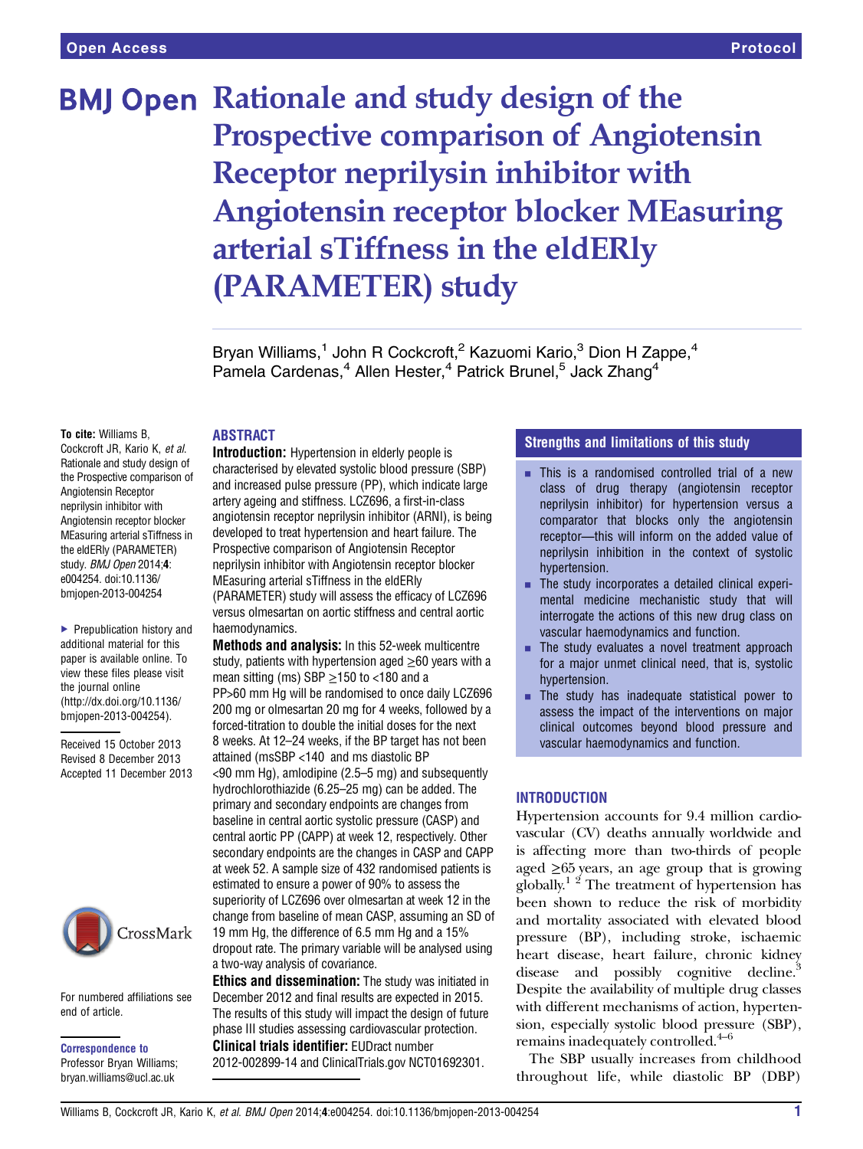# **BMJ Open Rationale and study design of the** Prospective comparison of Angiotensin Receptor neprilysin inhibitor with Angiotensin receptor blocker MEasuring arterial sTiffness in the eldERly (PARAMETER) study

Bryan Williams,<sup>1</sup> John R Cockcroft,<sup>2</sup> Kazuomi Kario,<sup>3</sup> Dion H Zappe,<sup>4</sup> Pamela Cardenas,<sup>4</sup> Allen Hester,<sup>4</sup> Patrick Brunel,<sup>5</sup> Jack Zhang<sup>4</sup>

To cite: Williams B, Cockcroft JR, Kario K, et al. Rationale and study design of the Prospective comparison of Angiotensin Receptor neprilysin inhibitor with Angiotensin receptor blocker MEasuring arterial sTiffness in the eldERly (PARAMETER) study. BMJ Open 2014;4: e004254. doi:10.1136/ bmjopen-2013-004254

▶ Prepublication history and additional material for this paper is available online. To view these files please visit the journal online [\(http://dx.doi.org/10.1136/](http://dx.doi.org/10.1136/bmjopen-2013-004254) [bmjopen-2013-004254](http://dx.doi.org/10.1136/bmjopen-2013-004254)).

Received 15 October 2013 Revised 8 December 2013 Accepted 11 December 2013



For numbered affiliations see end of article.

Correspondence to Professor Bryan Williams; bryan.williams@ucl.ac.uk

# ABSTRACT

Introduction: Hypertension in elderly people is characterised by elevated systolic blood pressure (SBP) and increased pulse pressure (PP), which indicate large artery ageing and stiffness. LCZ696, a first-in-class angiotensin receptor neprilysin inhibitor (ARNI), is being developed to treat hypertension and heart failure. The Prospective comparison of Angiotensin Receptor neprilysin inhibitor with Angiotensin receptor blocker MEasuring arterial sTiffness in the eldERly (PARAMETER) study will assess the efficacy of LCZ696 versus olmesartan on aortic stiffness and central aortic haemodynamics.

Methods and analysis: In this 52-week multicentre study, patients with hypertension aged  $\geq 60$  years with a mean sitting (ms) SBP  $\geq$ 150 to <180 and a PP>60 mm Hg will be randomised to once daily LCZ696 200 mg or olmesartan 20 mg for 4 weeks, followed by a forced-titration to double the initial doses for the next 8 weeks. At 12–24 weeks, if the BP target has not been attained (msSBP <140 and ms diastolic BP <90 mm Hg), amlodipine (2.5–5 mg) and subsequently hydrochlorothiazide (6.25–25 mg) can be added. The primary and secondary endpoints are changes from

baseline in central aortic systolic pressure (CASP) and central aortic PP (CAPP) at week 12, respectively. Other secondary endpoints are the changes in CASP and CAPP at week 52. A sample size of 432 randomised patients is estimated to ensure a power of 90% to assess the superiority of LCZ696 over olmesartan at week 12 in the change from baseline of mean CASP, assuming an SD of 19 mm Hg, the difference of 6.5 mm Hg and a 15% dropout rate. The primary variable will be analysed using a two-way analysis of covariance.

**Ethics and dissemination:** The study was initiated in December 2012 and final results are expected in 2015. The results of this study will impact the design of future phase III studies assessing cardiovascular protection. Clinical trials identifier: EUDract number 2012-002899-14 and ClinicalTrials.gov NCT01692301.

# Strengths and limitations of this study

- $\blacksquare$  This is a randomised controlled trial of a new class of drug therapy (angiotensin receptor neprilysin inhibitor) for hypertension versus a comparator that blocks only the angiotensin receptor—this will inform on the added value of neprilysin inhibition in the context of systolic hypertension.
- The study incorporates a detailed clinical experimental medicine mechanistic study that will interrogate the actions of this new drug class on vascular haemodynamics and function.
- $\blacksquare$  The study evaluates a novel treatment approach for a major unmet clinical need, that is, systolic hypertension.
- $\blacksquare$  The study has inadequate statistical power to assess the impact of the interventions on major clinical outcomes beyond blood pressure and vascular haemodynamics and function.

# **INTRODUCTION**

Hypertension accounts for 9.4 million cardiovascular (CV) deaths annually worldwide and is affecting more than two-thirds of people aged ≥65 years, an age group that is growing globally.<sup>1 2</sup> The treatment of hypertension has been shown to reduce the risk of morbidity and mortality associated with elevated blood pressure (BP), including stroke, ischaemic heart disease, heart failure, chronic kidney disease and possibly cognitive decline.<sup>3</sup> Despite the availability of multiple drug classes with different mechanisms of action, hypertension, especially systolic blood pressure (SBP), remains inadequately controlled.<sup>4–6</sup>

The SBP usually increases from childhood throughout life, while diastolic BP (DBP)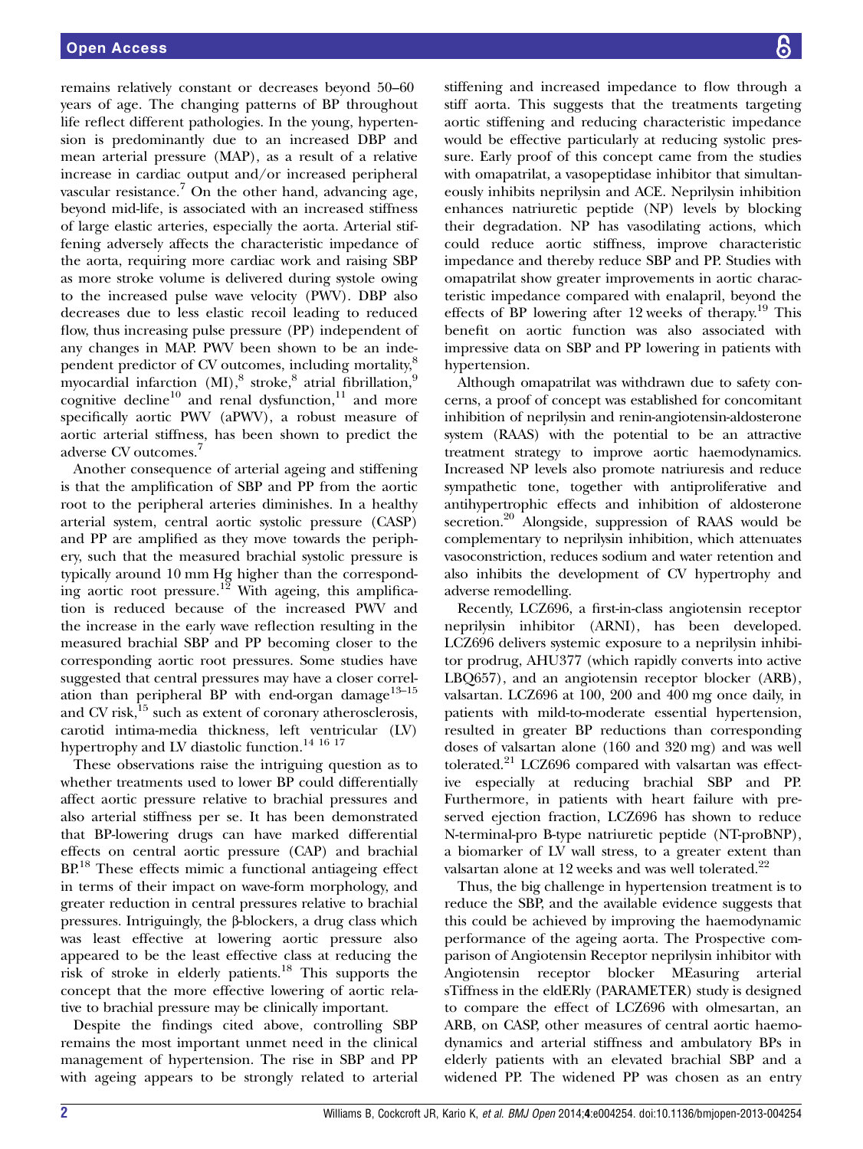remains relatively constant or decreases beyond 50–60 years of age. The changing patterns of BP throughout life reflect different pathologies. In the young, hypertension is predominantly due to an increased DBP and mean arterial pressure (MAP), as a result of a relative increase in cardiac output and/or increased peripheral vascular resistance.<sup>7</sup> On the other hand, advancing age, beyond mid-life, is associated with an increased stiffness of large elastic arteries, especially the aorta. Arterial stiffening adversely affects the characteristic impedance of the aorta, requiring more cardiac work and raising SBP as more stroke volume is delivered during systole owing to the increased pulse wave velocity (PWV). DBP also decreases due to less elastic recoil leading to reduced flow, thus increasing pulse pressure (PP) independent of any changes in MAP. PWV been shown to be an independent predictor of CV outcomes, including mortality,<sup>8</sup> myocardial infarction  $(MI)$ ,<sup>8</sup> stroke,<sup>8</sup> atrial fibrillation,<sup>9</sup> cognitive decline<sup>10</sup> and renal dysfunction,<sup>11</sup> and more specifically aortic PWV (aPWV), a robust measure of aortic arterial stiffness, has been shown to predict the adverse CV outcomes.<sup>7</sup>

Another consequence of arterial ageing and stiffening is that the amplification of SBP and PP from the aortic root to the peripheral arteries diminishes. In a healthy arterial system, central aortic systolic pressure (CASP) and PP are amplified as they move towards the periphery, such that the measured brachial systolic pressure is typically around 10 mm Hg higher than the corresponding aortic root pressure.<sup>12</sup> With ageing, this amplification is reduced because of the increased PWV and the increase in the early wave reflection resulting in the measured brachial SBP and PP becoming closer to the corresponding aortic root pressures. Some studies have suggested that central pressures may have a closer correlation than peripheral BP with end-organ damage $13-15$ and CV risk,<sup>15</sup> such as extent of coronary atherosclerosis, carotid intima-media thickness, left ventricular (LV) hypertrophy and LV diastolic function.<sup>14 16 17</sup>

These observations raise the intriguing question as to whether treatments used to lower BP could differentially affect aortic pressure relative to brachial pressures and also arterial stiffness per se. It has been demonstrated that BP-lowering drugs can have marked differential effects on central aortic pressure (CAP) and brachial BP<sup>18</sup> These effects mimic a functional antiageing effect in terms of their impact on wave-form morphology, and greater reduction in central pressures relative to brachial pressures. Intriguingly, the β-blockers, a drug class which was least effective at lowering aortic pressure also appeared to be the least effective class at reducing the risk of stroke in elderly patients.<sup>18</sup> This supports the concept that the more effective lowering of aortic relative to brachial pressure may be clinically important.

Despite the findings cited above, controlling SBP remains the most important unmet need in the clinical management of hypertension. The rise in SBP and PP with ageing appears to be strongly related to arterial

stiffening and increased impedance to flow through a stiff aorta. This suggests that the treatments targeting aortic stiffening and reducing characteristic impedance would be effective particularly at reducing systolic pressure. Early proof of this concept came from the studies with omapatrilat, a vasopeptidase inhibitor that simultaneously inhibits neprilysin and ACE. Neprilysin inhibition enhances natriuretic peptide (NP) levels by blocking their degradation. NP has vasodilating actions, which could reduce aortic stiffness, improve characteristic impedance and thereby reduce SBP and PP. Studies with omapatrilat show greater improvements in aortic characteristic impedance compared with enalapril, beyond the effects of BP lowering after 12 weeks of therapy.<sup>19</sup> This benefit on aortic function was also associated with impressive data on SBP and PP lowering in patients with hypertension.

Although omapatrilat was withdrawn due to safety concerns, a proof of concept was established for concomitant inhibition of neprilysin and renin-angiotensin-aldosterone system (RAAS) with the potential to be an attractive treatment strategy to improve aortic haemodynamics. Increased NP levels also promote natriuresis and reduce sympathetic tone, together with antiproliferative and antihypertrophic effects and inhibition of aldosterone secretion.<sup>20</sup> Alongside, suppression of RAAS would be complementary to neprilysin inhibition, which attenuates vasoconstriction, reduces sodium and water retention and also inhibits the development of CV hypertrophy and adverse remodelling.

Recently, LCZ696, a first-in-class angiotensin receptor neprilysin inhibitor (ARNI), has been developed. LCZ696 delivers systemic exposure to a neprilysin inhibitor prodrug, AHU377 (which rapidly converts into active LBQ657), and an angiotensin receptor blocker (ARB), valsartan. LCZ696 at 100, 200 and 400 mg once daily, in patients with mild-to-moderate essential hypertension, resulted in greater BP reductions than corresponding doses of valsartan alone (160 and 320 mg) and was well tolerated.<sup>21</sup> LCZ696 compared with valsartan was effective especially at reducing brachial SBP and PP. Furthermore, in patients with heart failure with preserved ejection fraction, LCZ696 has shown to reduce N-terminal-pro B-type natriuretic peptide (NT-proBNP), a biomarker of LV wall stress, to a greater extent than valsartan alone at 12 weeks and was well tolerated.<sup>22</sup>

Thus, the big challenge in hypertension treatment is to reduce the SBP, and the available evidence suggests that this could be achieved by improving the haemodynamic performance of the ageing aorta. The Prospective comparison of Angiotensin Receptor neprilysin inhibitor with Angiotensin receptor blocker MEasuring arterial sTiffness in the eldERly (PARAMETER) study is designed to compare the effect of LCZ696 with olmesartan, an ARB, on CASP, other measures of central aortic haemodynamics and arterial stiffness and ambulatory BPs in elderly patients with an elevated brachial SBP and a widened PP. The widened PP was chosen as an entry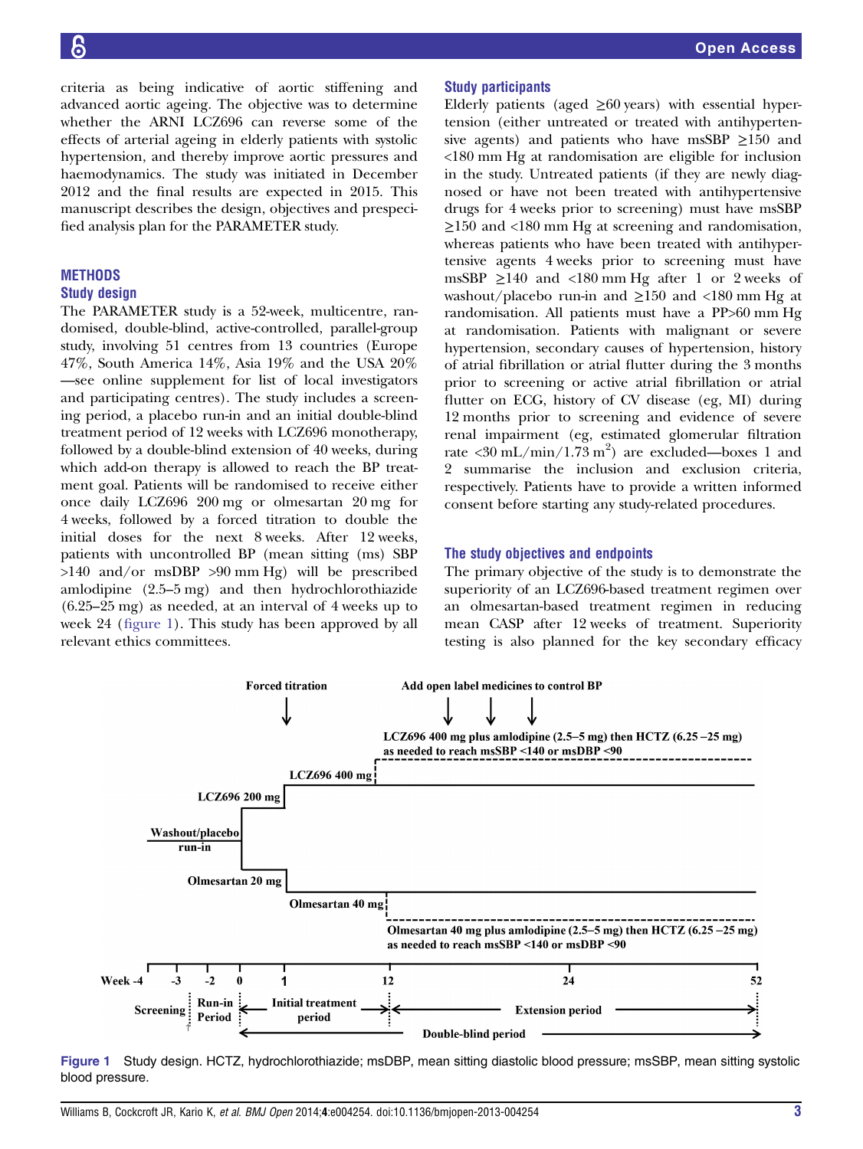criteria as being indicative of aortic stiffening and advanced aortic ageing. The objective was to determine whether the ARNI LCZ696 can reverse some of the effects of arterial ageing in elderly patients with systolic hypertension, and thereby improve aortic pressures and haemodynamics. The study was initiated in December 2012 and the final results are expected in 2015. This manuscript describes the design, objectives and prespecified analysis plan for the PARAMETER study.

# **METHODS**

#### Study design

The PARAMETER study is a 52-week, multicentre, randomised, double-blind, active-controlled, parallel-group study, involving 51 centres from 13 countries (Europe 47%, South America 14%, Asia 19% and the USA 20% —see online supplement for list of local investigators and participating centres). The study includes a screening period, a placebo run-in and an initial double-blind treatment period of 12 weeks with LCZ696 monotherapy, followed by a double-blind extension of 40 weeks, during which add-on therapy is allowed to reach the BP treatment goal. Patients will be randomised to receive either once daily LCZ696 200 mg or olmesartan 20 mg for 4 weeks, followed by a forced titration to double the initial doses for the next 8 weeks. After 12 weeks, patients with uncontrolled BP (mean sitting (ms) SBP >140 and/or msDBP >90 mm Hg) will be prescribed amlodipine (2.5–5 mg) and then hydrochlorothiazide (6.25–25 mg) as needed, at an interval of 4 weeks up to week 24 (figure 1). This study has been approved by all relevant ethics committees.

#### Study participants

Elderly patients (aged  $\geq 60$  years) with essential hypertension (either untreated or treated with antihypertensive agents) and patients who have msSBP  $\geq$ 150 and <180 mm Hg at randomisation are eligible for inclusion in the study. Untreated patients (if they are newly diagnosed or have not been treated with antihypertensive drugs for 4 weeks prior to screening) must have msSBP ≥150 and <180 mm Hg at screening and randomisation, whereas patients who have been treated with antihypertensive agents 4 weeks prior to screening must have msSBP  $\geq$ 140 and <180 mm Hg after 1 or 2 weeks of washout/placebo run-in and  $\geq 150$  and <180 mm Hg at randomisation. All patients must have a PP>60 mm Hg at randomisation. Patients with malignant or severe hypertension, secondary causes of hypertension, history of atrial fibrillation or atrial flutter during the 3 months prior to screening or active atrial fibrillation or atrial flutter on ECG, history of CV disease (eg, MI) during 12 months prior to screening and evidence of severe renal impairment (eg, estimated glomerular filtration rate <30 mL/min/1.73 m<sup>2</sup>) are excluded—boxes 1 and 2 summarise the inclusion and exclusion criteria, respectively. Patients have to provide a written informed consent before starting any study-related procedures.

#### The study objectives and endpoints

The primary objective of the study is to demonstrate the superiority of an LCZ696-based treatment regimen over an olmesartan-based treatment regimen in reducing mean CASP after 12 weeks of treatment. Superiority testing is also planned for the key secondary efficacy



Figure 1 Study design. HCTZ, hydrochlorothiazide; msDBP, mean sitting diastolic blood pressure; msSBP, mean sitting systolic blood pressure.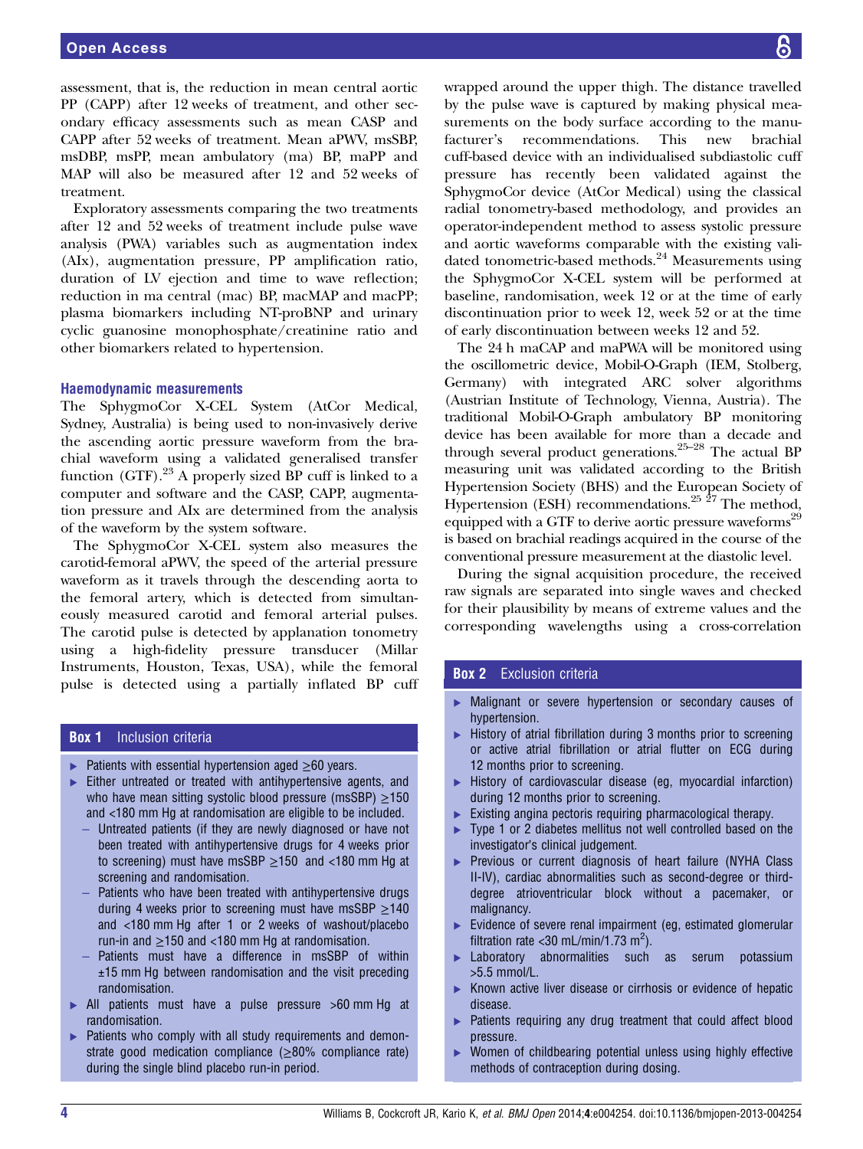assessment, that is, the reduction in mean central aortic PP (CAPP) after 12 weeks of treatment, and other secondary efficacy assessments such as mean CASP and CAPP after 52 weeks of treatment. Mean aPWV, msSBP, msDBP, msPP, mean ambulatory (ma) BP, maPP and MAP will also be measured after 12 and 52 weeks of treatment.

Exploratory assessments comparing the two treatments after 12 and 52 weeks of treatment include pulse wave analysis (PWA) variables such as augmentation index (AIx), augmentation pressure, PP amplification ratio, duration of LV ejection and time to wave reflection; reduction in ma central (mac) BP, macMAP and macPP; plasma biomarkers including NT-proBNP and urinary cyclic guanosine monophosphate/creatinine ratio and other biomarkers related to hypertension.

#### Haemodynamic measurements

The SphygmoCor X-CEL System (AtCor Medical, Sydney, Australia) is being used to non-invasively derive the ascending aortic pressure waveform from the brachial waveform using a validated generalised transfer function (GTF).<sup>23</sup> A properly sized BP cuff is linked to a computer and software and the CASP, CAPP, augmentation pressure and AIx are determined from the analysis of the waveform by the system software.

The SphygmoCor X-CEL system also measures the carotid-femoral aPWV, the speed of the arterial pressure waveform as it travels through the descending aorta to the femoral artery, which is detected from simultaneously measured carotid and femoral arterial pulses. The carotid pulse is detected by applanation tonometry using a high-fidelity pressure transducer (Millar Instruments, Houston, Texas, USA), while the femoral pulse is detected using a partially inflated BP cuff

### **Box 1** Inclusion criteria

- $▶$  Patients with essential hypertension aged  $\geq 60$  years.
- ▸ Either untreated or treated with antihypertensive agents, and who have mean sitting systolic blood pressure (msSBP)  $\geq$ 150 and <180 mm Hg at randomisation are eligible to be included.
	- Untreated patients (if they are newly diagnosed or have not been treated with antihypertensive drugs for 4 weeks prior to screening) must have msSBP  $\geq$ 150 and <180 mm Hg at screening and randomisation.
	- Patients who have been treated with antihypertensive drugs during 4 weeks prior to screening must have msSBP  $\geq$ 140 and <180 mm Hg after 1 or 2 weeks of washout/placebo run-in and ≥150 and <180 mm Hg at randomisation.
	- Patients must have a difference in msSBP of within  $±15$  mm Hg between randomisation and the visit preceding randomisation.
- ▸ All patients must have a pulse pressure >60 mm Hg at randomisation.
- ▶ Patients who comply with all study requirements and demonstrate good medication compliance  $(\geq 80\%$  compliance rate) during the single blind placebo run-in period.

wrapped around the upper thigh. The distance travelled by the pulse wave is captured by making physical measurements on the body surface according to the manufacturer's recommendations. This new brachial cuff-based device with an individualised subdiastolic cuff pressure has recently been validated against the SphygmoCor device (AtCor Medical) using the classical radial tonometry-based methodology, and provides an operator-independent method to assess systolic pressure and aortic waveforms comparable with the existing validated tonometric-based methods.<sup>24</sup> Measurements using the SphygmoCor X-CEL system will be performed at baseline, randomisation, week 12 or at the time of early discontinuation prior to week 12, week 52 or at the time of early discontinuation between weeks 12 and 52.

The 24 h maCAP and maPWA will be monitored using the oscillometric device, Mobil-O-Graph (IEM, Stolberg, Germany) with integrated ARC solver algorithms (Austrian Institute of Technology, Vienna, Austria). The traditional Mobil-O-Graph ambulatory BP monitoring device has been available for more than a decade and through several product generations.25–<sup>28</sup> The actual BP measuring unit was validated according to the British Hypertension Society (BHS) and the European Society of Hypertension (ESH) recommendations.<sup>25  $\frac{25}{7}$ </sup> The method, equipped with a GTF to derive aortic pressure waveforms<sup>29</sup> is based on brachial readings acquired in the course of the conventional pressure measurement at the diastolic level.

During the signal acquisition procedure, the received raw signals are separated into single waves and checked for their plausibility by means of extreme values and the corresponding wavelengths using a cross-correlation

### **Box 2** Exclusion criteria

- ▸ Malignant or severe hypertension or secondary causes of hypertension.
- ▶ History of atrial fibrillation during 3 months prior to screening or active atrial fibrillation or atrial flutter on ECG during 12 months prior to screening.
- ▸ History of cardiovascular disease (eg, myocardial infarction) during 12 months prior to screening.
- ► Existing angina pectoris requiring pharmacological therapy.
- ▶ Type 1 or 2 diabetes mellitus not well controlled based on the investigator's clinical judgement.
- ▶ Previous or current diagnosis of heart failure (NYHA Class II-IV), cardiac abnormalities such as second-degree or thirddegree atrioventricular block without a pacemaker, or malignancy.
- ▸ Evidence of severe renal impairment (eg, estimated glomerular filtration rate < 30 mL/min/1.73 m<sup>2</sup>).
- Laboratory abnormalities such as serum potassium >5.5 mmol/L.
- ▸ Known active liver disease or cirrhosis or evidence of hepatic disease.
- ▶ Patients requiring any drug treatment that could affect blood pressure.
- ▸ Women of childbearing potential unless using highly effective methods of contraception during dosing.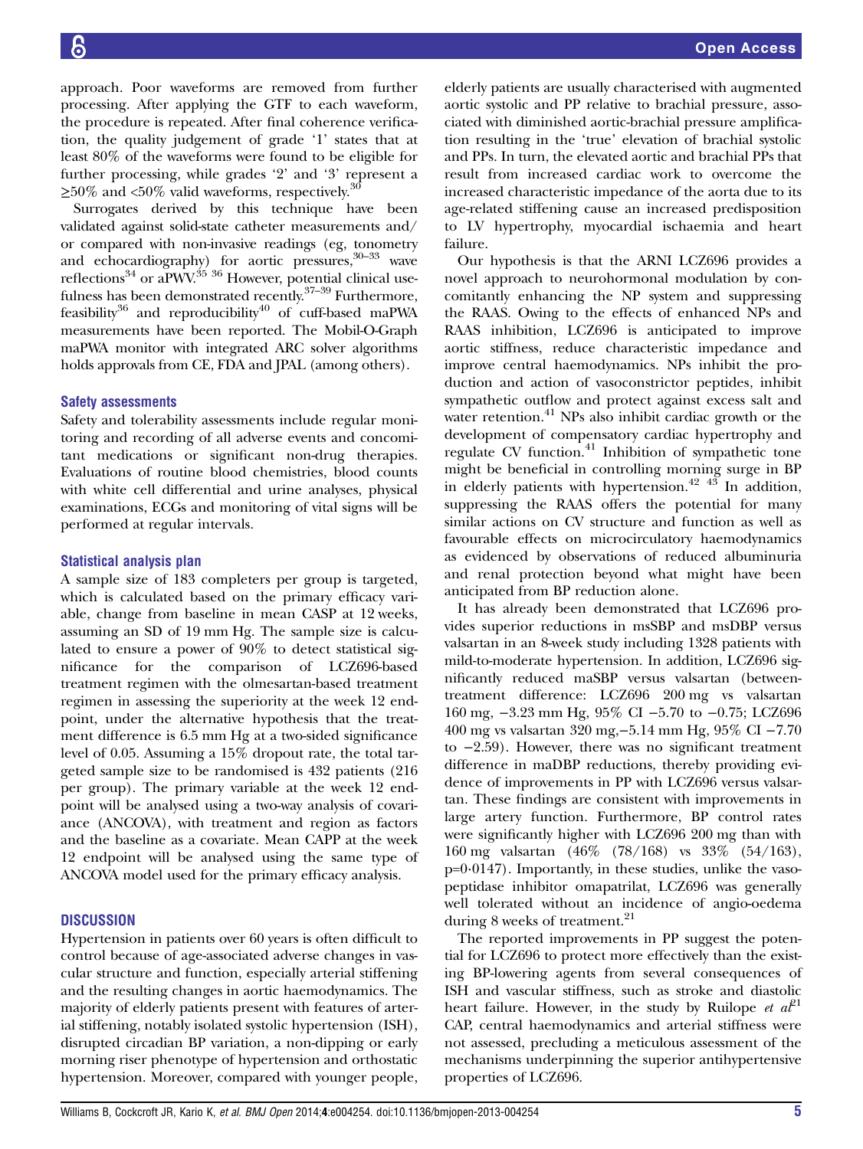Open Access

approach. Poor waveforms are removed from further processing. After applying the GTF to each waveform, the procedure is repeated. After final coherence verification, the quality judgement of grade '1' states that at least 80% of the waveforms were found to be eligible for further processing, while grades '2' and '3' represent a  $\geq$ 50% and <50% valid waveforms, respectively.<sup>30</sup>

Surrogates derived by this technique have been validated against solid-state catheter measurements and/ or compared with non-invasive readings (eg, tonometry and echocardiography) for aortic pressures,<sup>30-33</sup> wave reflections<sup>34</sup> or aPWV.<sup>35</sup> <sup>36</sup> However, potential clinical usefulness has been demonstrated recently.<sup>37-39</sup> Furthermore, feasibility $36$  and reproducibility $40$  of cuff-based maPWA measurements have been reported. The Mobil-O-Graph maPWA monitor with integrated ARC solver algorithms holds approvals from CE, FDA and JPAL (among others).

# Safety assessments

Safety and tolerability assessments include regular monitoring and recording of all adverse events and concomitant medications or significant non-drug therapies. Evaluations of routine blood chemistries, blood counts with white cell differential and urine analyses, physical examinations, ECGs and monitoring of vital signs will be performed at regular intervals.

# Statistical analysis plan

A sample size of 183 completers per group is targeted, which is calculated based on the primary efficacy variable, change from baseline in mean CASP at 12 weeks, assuming an SD of 19 mm Hg. The sample size is calculated to ensure a power of 90% to detect statistical significance for the comparison of LCZ696-based treatment regimen with the olmesartan-based treatment regimen in assessing the superiority at the week 12 endpoint, under the alternative hypothesis that the treatment difference is 6.5 mm Hg at a two-sided significance level of 0.05. Assuming a 15% dropout rate, the total targeted sample size to be randomised is 432 patients (216 per group). The primary variable at the week 12 endpoint will be analysed using a two-way analysis of covariance (ANCOVA), with treatment and region as factors and the baseline as a covariate. Mean CAPP at the week 12 endpoint will be analysed using the same type of ANCOVA model used for the primary efficacy analysis.

# **DISCUSSION**

Hypertension in patients over 60 years is often difficult to control because of age-associated adverse changes in vascular structure and function, especially arterial stiffening and the resulting changes in aortic haemodynamics. The majority of elderly patients present with features of arterial stiffening, notably isolated systolic hypertension (ISH), disrupted circadian BP variation, a non-dipping or early morning riser phenotype of hypertension and orthostatic hypertension. Moreover, compared with younger people,

elderly patients are usually characterised with augmented aortic systolic and PP relative to brachial pressure, associated with diminished aortic-brachial pressure amplification resulting in the 'true' elevation of brachial systolic and PPs. In turn, the elevated aortic and brachial PPs that result from increased cardiac work to overcome the increased characteristic impedance of the aorta due to its age-related stiffening cause an increased predisposition to LV hypertrophy, myocardial ischaemia and heart failure.

Our hypothesis is that the ARNI LCZ696 provides a novel approach to neurohormonal modulation by concomitantly enhancing the NP system and suppressing the RAAS. Owing to the effects of enhanced NPs and RAAS inhibition, LCZ696 is anticipated to improve aortic stiffness, reduce characteristic impedance and improve central haemodynamics. NPs inhibit the production and action of vasoconstrictor peptides, inhibit sympathetic outflow and protect against excess salt and water retention.<sup>41</sup> NPs also inhibit cardiac growth or the development of compensatory cardiac hypertrophy and regulate CV function.<sup>41</sup> Inhibition of sympathetic tone might be beneficial in controlling morning surge in BP in elderly patients with hypertension.<sup>42 43</sup> In addition, suppressing the RAAS offers the potential for many similar actions on CV structure and function as well as favourable effects on microcirculatory haemodynamics as evidenced by observations of reduced albuminuria and renal protection beyond what might have been anticipated from BP reduction alone.

It has already been demonstrated that LCZ696 provides superior reductions in msSBP and msDBP versus valsartan in an 8-week study including 1328 patients with mild-to-moderate hypertension. In addition, LCZ696 significantly reduced maSBP versus valsartan (betweentreatment difference: LCZ696 200 mg vs valsartan 160 mg, −3.23 mm Hg, 95% CI −5.70 to −0.75; LCZ696 400 mg vs valsartan 320 mg,−5.14 mm Hg, 95% CI −7.70 to −2.59). However, there was no significant treatment difference in maDBP reductions, thereby providing evidence of improvements in PP with LCZ696 versus valsartan. These findings are consistent with improvements in large artery function. Furthermore, BP control rates were significantly higher with LCZ696 200 mg than with 160 mg valsartan (46% (78/168) vs 33% (54/163),  $p=0.0147$ ). Importantly, in these studies, unlike the vasopeptidase inhibitor omapatrilat, LCZ696 was generally well tolerated without an incidence of angio-oedema during 8 weeks of treatment.<sup>21</sup>

The reported improvements in PP suggest the potential for LCZ696 to protect more effectively than the existing BP-lowering agents from several consequences of ISH and vascular stiffness, such as stroke and diastolic heart failure. However, in the study by Ruilope et  $a\ddot{\ell}^1$ CAP, central haemodynamics and arterial stiffness were not assessed, precluding a meticulous assessment of the mechanisms underpinning the superior antihypertensive properties of LCZ696.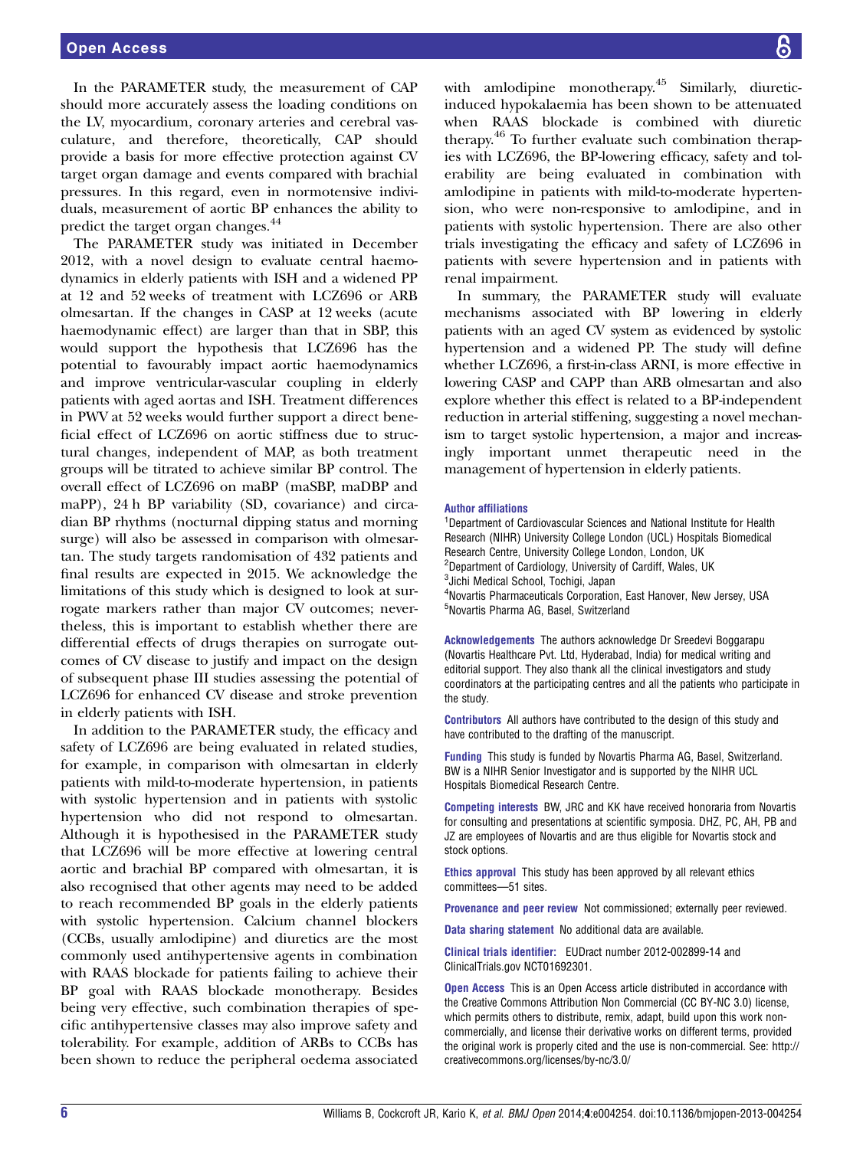In the PARAMETER study, the measurement of CAP should more accurately assess the loading conditions on the LV, myocardium, coronary arteries and cerebral vasculature, and therefore, theoretically, CAP should provide a basis for more effective protection against CV target organ damage and events compared with brachial pressures. In this regard, even in normotensive individuals, measurement of aortic BP enhances the ability to predict the target organ changes.<sup>44</sup>

The PARAMETER study was initiated in December 2012, with a novel design to evaluate central haemodynamics in elderly patients with ISH and a widened PP at 12 and 52 weeks of treatment with LCZ696 or ARB olmesartan. If the changes in CASP at 12 weeks (acute haemodynamic effect) are larger than that in SBP, this would support the hypothesis that LCZ696 has the potential to favourably impact aortic haemodynamics and improve ventricular-vascular coupling in elderly patients with aged aortas and ISH. Treatment differences in PWV at 52 weeks would further support a direct beneficial effect of LCZ696 on aortic stiffness due to structural changes, independent of MAP, as both treatment groups will be titrated to achieve similar BP control. The overall effect of LCZ696 on maBP (maSBP, maDBP and maPP), 24 h BP variability (SD, covariance) and circadian BP rhythms (nocturnal dipping status and morning surge) will also be assessed in comparison with olmesartan. The study targets randomisation of 432 patients and final results are expected in 2015. We acknowledge the limitations of this study which is designed to look at surrogate markers rather than major CV outcomes; nevertheless, this is important to establish whether there are differential effects of drugs therapies on surrogate outcomes of CV disease to justify and impact on the design of subsequent phase III studies assessing the potential of LCZ696 for enhanced CV disease and stroke prevention in elderly patients with ISH.

In addition to the PARAMETER study, the efficacy and safety of LCZ696 are being evaluated in related studies, for example, in comparison with olmesartan in elderly patients with mild-to-moderate hypertension, in patients with systolic hypertension and in patients with systolic hypertension who did not respond to olmesartan. Although it is hypothesised in the PARAMETER study that LCZ696 will be more effective at lowering central aortic and brachial BP compared with olmesartan, it is also recognised that other agents may need to be added to reach recommended BP goals in the elderly patients with systolic hypertension. Calcium channel blockers (CCBs, usually amlodipine) and diuretics are the most commonly used antihypertensive agents in combination with RAAS blockade for patients failing to achieve their BP goal with RAAS blockade monotherapy. Besides being very effective, such combination therapies of specific antihypertensive classes may also improve safety and tolerability. For example, addition of ARBs to CCBs has been shown to reduce the peripheral oedema associated

with amlodipine monotherapy.<sup>45</sup> Similarly, diureticinduced hypokalaemia has been shown to be attenuated when RAAS blockade is combined with diuretic therapy.46 To further evaluate such combination therapies with LCZ696, the BP-lowering efficacy, safety and tolerability are being evaluated in combination with amlodipine in patients with mild-to-moderate hypertension, who were non-responsive to amlodipine, and in patients with systolic hypertension. There are also other trials investigating the efficacy and safety of LCZ696 in patients with severe hypertension and in patients with renal impairment.

In summary, the PARAMETER study will evaluate mechanisms associated with BP lowering in elderly patients with an aged CV system as evidenced by systolic hypertension and a widened PP. The study will define whether LCZ696, a first-in-class ARNI, is more effective in lowering CASP and CAPP than ARB olmesartan and also explore whether this effect is related to a BP-independent reduction in arterial stiffening, suggesting a novel mechanism to target systolic hypertension, a major and increasingly important unmet therapeutic need in the management of hypertension in elderly patients.

#### Author affiliations

<sup>1</sup>Department of Cardiovascular Sciences and National Institute for Health Research (NIHR) University College London (UCL) Hospitals Biomedical Research Centre, University College London, London, UK <sup>2</sup>Department of Cardiology, University of Cardiff, Wales, UK <sup>3</sup>Jichi Medical School, Tochigi, Japan 4 Novartis Pharmaceuticals Corporation, East Hanover, New Jersey, USA 5 Novartis Pharma AG, Basel, Switzerland

Acknowledgements The authors acknowledge Dr Sreedevi Boggarapu (Novartis Healthcare Pvt. Ltd, Hyderabad, India) for medical writing and editorial support. They also thank all the clinical investigators and study coordinators at the participating centres and all the patients who participate in the study.

Contributors All authors have contributed to the design of this study and have contributed to the drafting of the manuscript.

Funding This study is funded by Novartis Pharma AG, Basel, Switzerland. BW is a NIHR Senior Investigator and is supported by the NIHR UCL Hospitals Biomedical Research Centre.

Competing interests BW, JRC and KK have received honoraria from Novartis for consulting and presentations at scientific symposia. DHZ, PC, AH, PB and JZ are employees of Novartis and are thus eligible for Novartis stock and stock options.

Ethics approval This study has been approved by all relevant ethics committees—51 sites.

Provenance and peer review Not commissioned; externally peer reviewed.

Data sharing statement No additional data are available.

Clinical trials identifier: EUDract number 2012-002899-14 and ClinicalTrials.gov NCT01692301.

**Open Access** This is an Open Access article distributed in accordance with the Creative Commons Attribution Non Commercial (CC BY-NC 3.0) license, which permits others to distribute, remix, adapt, build upon this work noncommercially, and license their derivative works on different terms, provided the original work is properly cited and the use is non-commercial. See: [http://](http://creativecommons.org/licenses/by-nc/3.0/) [creativecommons.org/licenses/by-nc/3.0/](http://creativecommons.org/licenses/by-nc/3.0/)